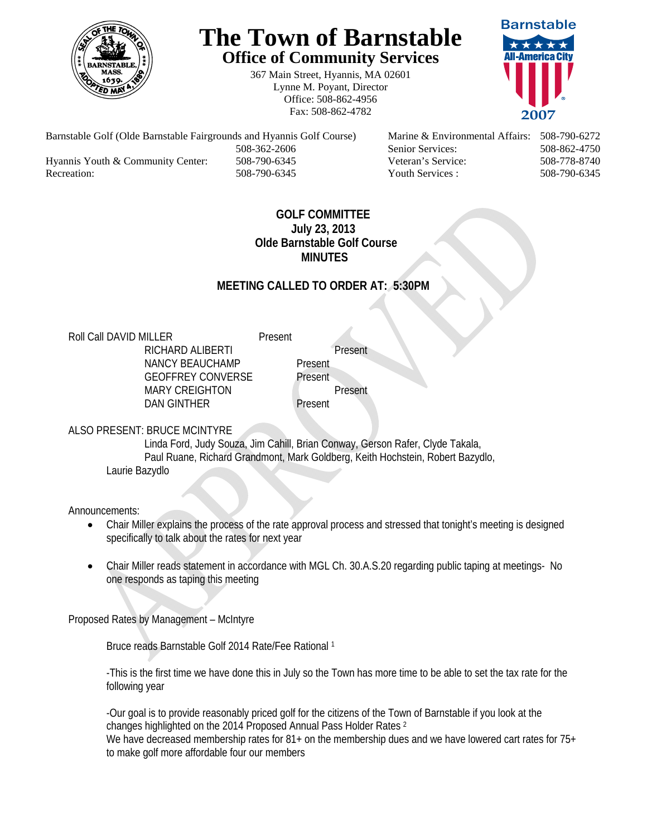

# **The Town of Barnstable Office of Community Services**

367 Main Street, Hyannis, MA 02601 Lynne M. Poyant, Director Office: 508-862-4956 Fax: 508-862-4782



 508-362-2606 Senior Services: 508-862-4750 Hyannis Youth & Community Center: 508-790-6345 Veteran's Service: 508-778-8740

Barnstable Golf (Olde Barnstable Fairgrounds and Hyannis Golf Course) Marine & Environmental Affairs: 508-790-6272 Recreation: 508-790-6345 Youth Services : 508-790-6345 S08-790-6345

#### **GOLF COMMITTEE July 23, 2013 Olde Barnstable Golf Course MINUTES**

### **MEETING CALLED TO ORDER AT: 5:30PM**

Roll Call DAVID MILLER Present

RICHARD ALIBERTI Present NANCY BEAUCHAMP Present GEOFFREY CONVERSE Present MARY CREIGHTON Present DAN GINTHER Present

#### ALSO PRESENT: BRUCE MCINTYRE

 Linda Ford, Judy Souza, Jim Cahill, Brian Conway, Gerson Rafer, Clyde Takala, Paul Ruane, Richard Grandmont, Mark Goldberg, Keith Hochstein, Robert Bazydlo, Laurie Bazydlo

Announcements:

- Chair Miller explains the process of the rate approval process and stressed that tonight's meeting is designed specifically to talk about the rates for next year
- Chair Miller reads statement in accordance with MGL Ch. 30.A.S.20 regarding public taping at meetings- No one responds as taping this meeting

Proposed Rates by Management – McIntyre

Bruce reads Barnstable Golf 2014 Rate/Fee Rational 1

-This is the first time we have done this in July so the Town has more time to be able to set the tax rate for the following year

-Our goal is to provide reasonably priced golf for the citizens of the Town of Barnstable if you look at the changes highlighted on the 2014 Proposed Annual Pass Holder Rates 2 We have decreased membership rates for 81+ on the membership dues and we have lowered cart rates for 75+ to make golf more affordable four our members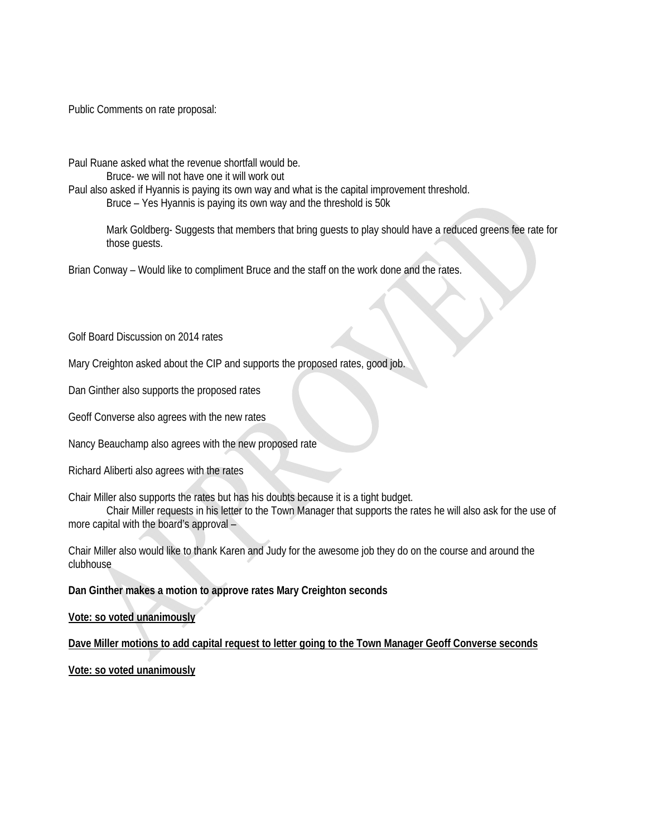Public Comments on rate proposal:

Paul Ruane asked what the revenue shortfall would be.

Bruce- we will not have one it will work out

Paul also asked if Hyannis is paying its own way and what is the capital improvement threshold.

Bruce – Yes Hyannis is paying its own way and the threshold is 50k

Mark Goldberg- Suggests that members that bring guests to play should have a reduced greens fee rate for those guests.

Brian Conway – Would like to compliment Bruce and the staff on the work done and the rates.

Golf Board Discussion on 2014 rates

Mary Creighton asked about the CIP and supports the proposed rates, good job.

Dan Ginther also supports the proposed rates

Geoff Converse also agrees with the new rates

Nancy Beauchamp also agrees with the new proposed rate

Richard Aliberti also agrees with the rates

Chair Miller also supports the rates but has his doubts because it is a tight budget.

 Chair Miller requests in his letter to the Town Manager that supports the rates he will also ask for the use of more capital with the board's approval –

Chair Miller also would like to thank Karen and Judy for the awesome job they do on the course and around the clubhouse

**Dan Ginther makes a motion to approve rates Mary Creighton seconds** 

**Vote: so voted unanimously**

**Dave Miller motions to add capital request to letter going to the Town Manager Geoff Converse seconds**

**Vote: so voted unanimously**